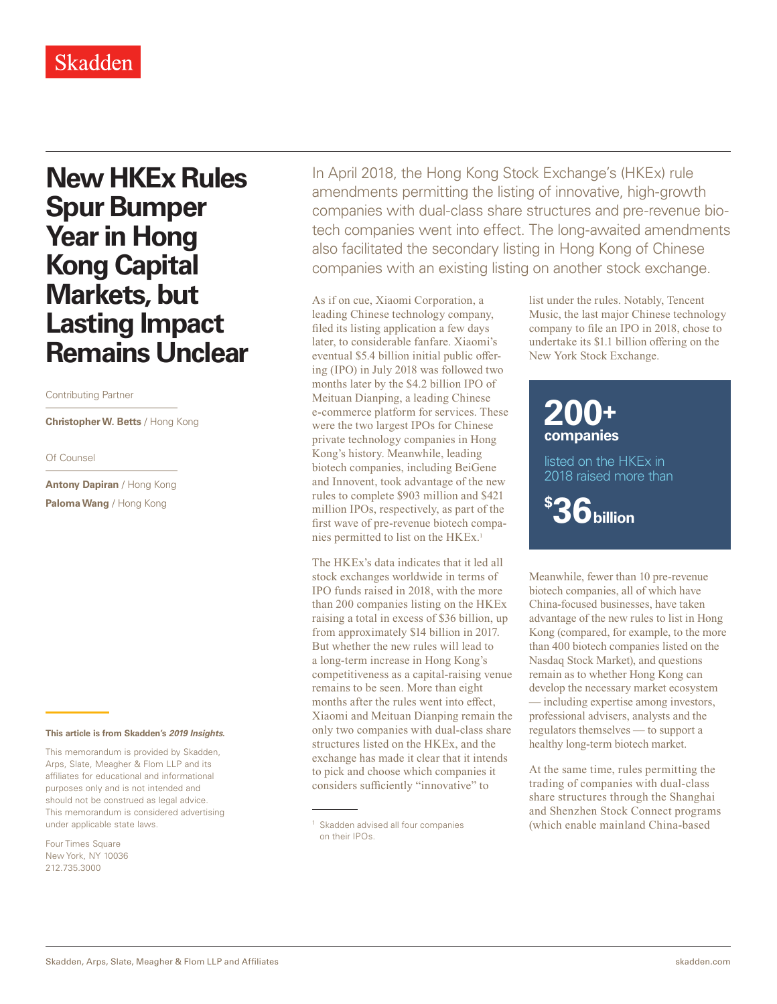## **New HKEx Rules Spur Bumper Year in Hong Kong Capital Markets, but Lasting Impact Remains Unclear**

## Contributing Partner

**Christopher W. Betts** / Hong Kong

## Of Counsel

**Antony Dapiran** / Hong Kong **Paloma Wang** / Hong Kong

**This article is from Skadden's** *[2019 Insights](https://www.skadden.com/insights/publications/2019/01/2019-insights/2019-insights)***.**

This memorandum is provided by Skadden, Arps, Slate, Meagher & Flom LLP and its affiliates for educational and informational purposes only and is not intended and should not be construed as legal advice. This memorandum is considered advertising under applicable state laws.

Four Times Square New York, NY 10036 212.735.3000

In April 2018, the Hong Kong Stock Exchange's (HKEx) rule amendments permitting the listing of innovative, high-growth companies with dual-class share structures and pre-revenue biotech companies went into effect. The long-awaited amendments also facilitated the secondary listing in Hong Kong of Chinese companies with an existing listing on another stock exchange.

As if on cue, Xiaomi Corporation, a leading Chinese technology company, filed its listing application a few days later, to considerable fanfare. Xiaomi's eventual \$5.4 billion initial public offering (IPO) in July 2018 was followed two months later by the \$4.2 billion IPO of Meituan Dianping, a leading Chinese e-commerce platform for services. These were the two largest IPOs for Chinese private technology companies in Hong Kong's history. Meanwhile, leading biotech companies, including BeiGene and Innovent, took advantage of the new rules to complete \$903 million and \$421 million IPOs, respectively, as part of the first wave of pre-revenue biotech companies permitted to list on the HKEx.<sup>1</sup>

The HKEx's data indicates that it led all stock exchanges worldwide in terms of IPO funds raised in 2018, with the more than 200 companies listing on the HKEx raising a total in excess of \$36 billion, up from approximately \$14 billion in 2017. But whether the new rules will lead to a long-term increase in Hong Kong's competitiveness as a capital-raising venue remains to be seen. More than eight months after the rules went into effect, Xiaomi and Meituan Dianping remain the only two companies with dual-class share structures listed on the HKEx, and the exchange has made it clear that it intends to pick and choose which companies it considers sufficiently "innovative" to

list under the rules. Notably, Tencent Music, the last major Chinese technology company to file an IPO in 2018, chose to undertake its \$1.1 billion offering on the New York Stock Exchange.

## **200+ companies**

listed on the HKEx in 2018 raised more than

**\$ 36billion**

Meanwhile, fewer than 10 pre-revenue biotech companies, all of which have China-focused businesses, have taken advantage of the new rules to list in Hong Kong (compared, for example, to the more than 400 biotech companies listed on the Nasdaq Stock Market), and questions remain as to whether Hong Kong can develop the necessary market ecosystem — including expertise among investors, professional advisers, analysts and the regulators themselves — to support a healthy long-term biotech market.

At the same time, rules permitting the trading of companies with dual-class share structures through the Shanghai and Shenzhen Stock Connect programs (which enable mainland China-based

<sup>&</sup>lt;sup>1</sup> Skadden advised all four companies on their IPOs.